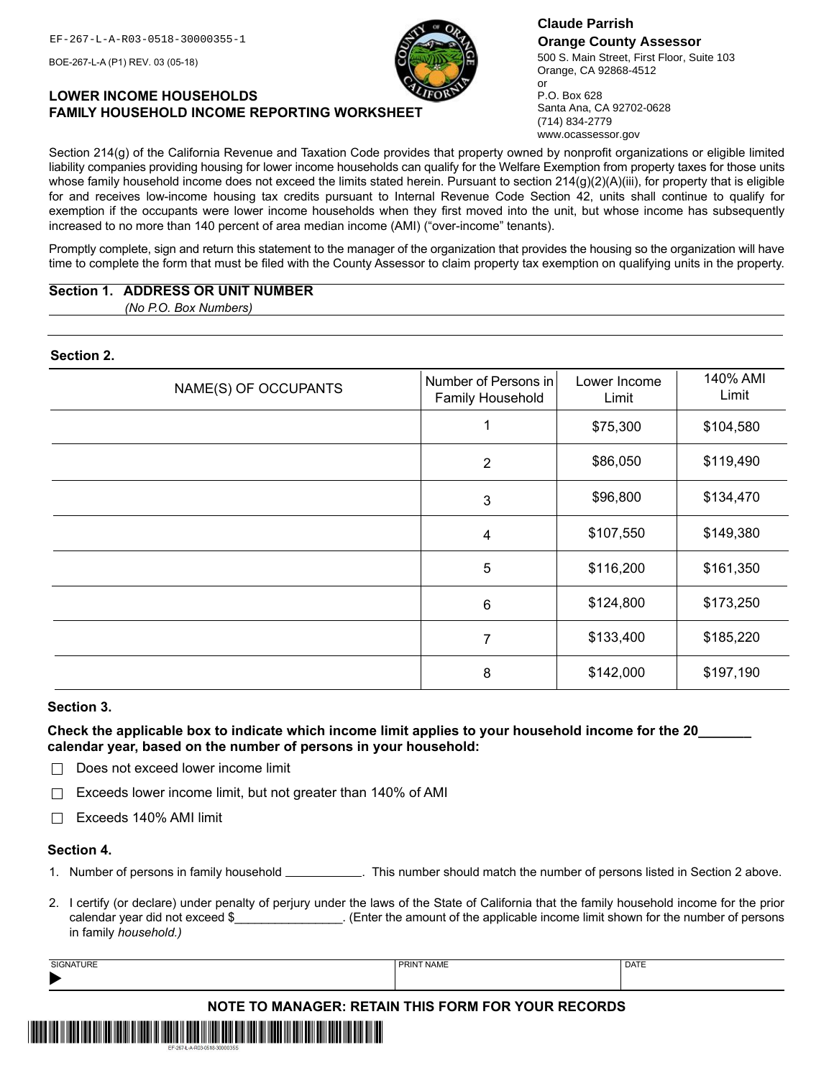BOE-267-L-A (P1) REV. 03 (05-18)

# **LOWER INCOME HOUSEHOLDS FAMILY HOUSEHOLD INCOME REPORTING WORKSHEET**

EF-267-L-A-R03-0518-30000355-1 **Claude Parrish Orange County Assessor** 500 S. Main Street, First Floor, Suite 103 Orange, CA 92868-4512 or

P.O. Box 628 Santa Ana, CA 92702-0628 (714) 834-2779 www.ocassessor.gov

Section 214(g) of the California Revenue and Taxation Code provides that property owned by nonprofit organizations or eligible limited liability companies providing housing for lower income households can qualify for the Welfare Exemption from property taxes for those units whose family household income does not exceed the limits stated herein. Pursuant to section 214(g)(2)(A)(iii), for property that is eligible for and receives low-income housing tax credits pursuant to Internal Revenue Code Section 42, units shall continue to qualify for exemption if the occupants were lower income households when they first moved into the unit, but whose income has subsequently increased to no more than 140 percent of area median income (AMI) ("over-income" tenants).

Promptly complete, sign and return this statement to the manager of the organization that provides the housing so the organization will have time to complete the form that must be filed with the County Assessor to claim property tax exemption on qualifying units in the property.

# **Section 1. ADDRESS OR UNIT NUMBER**

*(No P.O. Box Numbers)*

# **Section 2.**

| NAME(S) OF OCCUPANTS | Number of Persons in<br>Family Household | Lower Income<br>Limit | 140% AMI<br>Limit |
|----------------------|------------------------------------------|-----------------------|-------------------|
|                      |                                          | \$75,300              | \$104,580         |
|                      | $\overline{2}$                           | \$86,050              | \$119,490         |
|                      | $\mathbf{3}$                             | \$96,800              | \$134,470         |
|                      | 4                                        | \$107,550             | \$149,380         |
|                      | 5                                        | \$116,200             | \$161,350         |
|                      | $\,6\,$                                  | \$124,800             | \$173,250         |
|                      | $\overline{7}$                           | \$133,400             | \$185,220         |
|                      | 8                                        | \$142,000             | \$197,190         |

#### **Section 3.**

**Check the applicable box to indicate which income limit applies to your household income for the 20\_\_\_\_\_\_\_ calendar year, based on the number of persons in your household:**

 $\Box$  Does not exceed lower income limit

 $\Box$  Exceeds lower income limit, but not greater than 140% of AMI

Exceeds 140% AMI limit

#### **Section 4.**

1. Number of persons in family household \_\_\_\_\_\_\_\_\_\_\_\_. This number should match the number of persons listed in Section 2 above.

2. I certify (or declare) under penalty of perjury under the laws of the State of California that the family household income for the prior calendar year did not exceed \$\_\_\_\_\_\_\_\_\_\_\_\_\_\_. (Enter the amount of the applicable income limit shown for the number of persons in family *household.)*

| <b>SIGNATURE</b>                                          | <b>PRINT NAME</b> | <b>DATE</b> |  |  |
|-----------------------------------------------------------|-------------------|-------------|--|--|
|                                                           |                   |             |  |  |
| <b>NOTE TO MANAGER: RETAIN THIS FORM FOR YOUR RECORDS</b> |                   |             |  |  |
|                                                           | <b>III</b> III    |             |  |  |